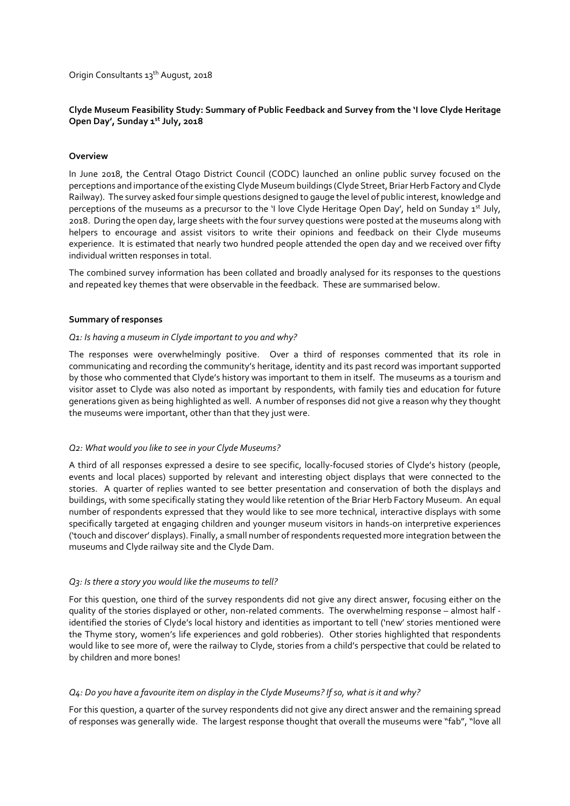Origin Consultants 13<sup>th</sup> August, 2018

# **Clyde Museum Feasibility Study: Summary of Public Feedback and Survey from the 'I love Clyde Heritage**  Open Day', Sunday 1st July, 2018

### **Overview**

In June 2018, the Central Otago District Council (CODC) launched an online public survey focused on the perceptions and importance of the existing Clyde Museum buildings (Clyde Street, Briar Herb Factory and Clyde Railway). The survey asked four simple questions designed to gauge the level of public interest, knowledge and perceptions of the museums as a precursor to the 'I love Clyde Heritage Open Day', held on Sunday 1st July, 2018. During the open day, large sheets with the four survey questions were posted at the museums along with helpers to encourage and assist visitors to write their opinions and feedback on their Clyde museums experience. It is estimated that nearly two hundred people attended the open day and we received over fifty individual written responses in total.

The combined survey information has been collated and broadly analysed for its responses to the questions and repeated key themes that were observable in the feedback. These are summarised below.

#### **Summary of responses**

#### *Q1: Is having a museum in Clyde important to you and why?*

The responses were overwhelmingly positive. Over a third of responses commented that its role in communicating and recording the community's heritage, identity and its past record was important supported by those who commented that Clyde's history was important to them in itself. The museums as a tourism and visitor asset to Clyde was also noted as important by respondents, with family ties and education for future generations given as being highlighted as well. A number of responses did not give a reason why they thought the museums were important, other than that they just were.

#### *Q2: What would you like to see in your Clyde Museums?*

A third of all responses expressed a desire to see specific, locally-focused stories of Clyde's history (people, events and local places) supported by relevant and interesting object displays that were connected to the stories. A quarter of replies wanted to see better presentation and conservation of both the displays and buildings, with some specifically stating they would like retention of the Briar Herb Factory Museum. An equal number of respondents expressed that they would like to see more technical, interactive displays with some specifically targeted at engaging children and younger museum visitors in hands-on interpretive experiences ('touch and discover' displays). Finally, a small number of respondents requested more integration between the museums and Clyde railway site and the Clyde Dam.

#### *Q3: Is there a story you would like the museums to tell?*

For this question, one third of the survey respondents did not give any direct answer, focusing either on the quality of the stories displayed or other, non-related comments. The overwhelming response – almost half identified the stories of Clyde's local history and identities as important to tell ('new' stories mentioned were the Thyme story, women's life experiences and gold robberies). Other stories highlighted that respondents would like to see more of, were the railway to Clyde, stories from a child's perspective that could be related to by children and more bones!

## *Q4: Do you have a favourite item on display in the Clyde Museums? If so, what is it and why?*

For this question, a quarter of the survey respondents did not give any direct answer and the remaining spread of responses was generally wide. The largest response thought that overall the museums were "fab", "love all